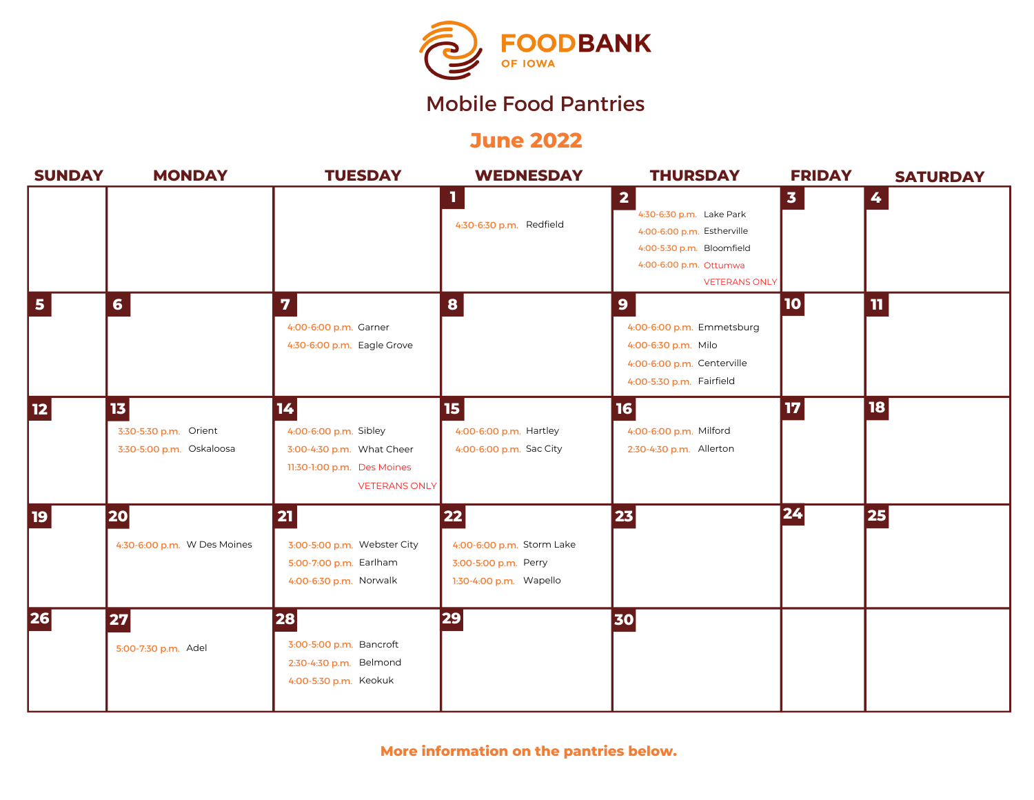

# Mobile Food Pantries

## **June 2022**

| <b>SUNDAY</b>           | <b>MONDAY</b>                                                        | <b>TUESDAY</b>                                                                                                 | <b>WEDNESDAY</b>                                                                   | <b>THURSDAY</b>                                                                                                                                                  | <b>FRIDAY</b> | <b>SATURDAY</b> |
|-------------------------|----------------------------------------------------------------------|----------------------------------------------------------------------------------------------------------------|------------------------------------------------------------------------------------|------------------------------------------------------------------------------------------------------------------------------------------------------------------|---------------|-----------------|
|                         |                                                                      |                                                                                                                | ш<br>4:30-6:30 p.m. Redfield                                                       | $\overline{\mathbf{2}}$<br>4:30-6:30 p.m. Lake Park<br>4:00-6:00 p.m. Estherville<br>4:00-5:30 p.m. Bloomfield<br>4:00-6:00 p.m. Ottumwa<br><b>VETERANS ONLY</b> | $\mathbf{3}$  | 4               |
| $\overline{\mathbf{5}}$ | 6 <sup>1</sup>                                                       | $\overline{\mathbf{z}}$<br>4:00-6:00 p.m. Garner<br>4:30-6:00 p.m. Eagle Grove                                 | 8                                                                                  | $\mathbf{9}$<br>4:00-6:00 p.m. Emmetsburg<br>4:00-6:30 p.m. Milo<br>4:00-6:00 p.m. Centerville<br>4:00-5:30 p.m. Fairfield                                       | $\vert$ 10    | $\mathbf{u}$    |
| <b>12</b>               | 13 <sub>1</sub><br>3:30-5:30 p.m. Orient<br>3:30-5:00 p.m. Oskaloosa | 14<br>4:00-6:00 p.m. Sibley<br>3:00-4:30 p.m. What Cheer<br>11:30-1:00 p.m. Des Moines<br><b>VETERANS ONLY</b> | 15<br>4:00-6:00 p.m. Hartley<br>4:00-6:00 p.m. Sac City                            | 16<br>4:00-6:00 p.m. Milford<br>2:30-4:30 p.m. Allerton                                                                                                          | 17            | 18              |
| <b>19</b>               | 20<br>4:30-6:00 p.m. W Des Moines                                    | 21<br>3:00-5:00 p.m. Webster City<br>5:00-7:00 p.m. Earlham<br>4:00-6:30 p.m. Norwalk                          | 22 <br>4:00-6:00 p.m. Storm Lake<br>3:00-5:00 p.m. Perry<br>1:30-4:00 p.m. Wapello | 23                                                                                                                                                               | 24            | 25              |
| 26                      | 27<br>5:00-7:30 p.m. Adel                                            | 28<br>3:00-5:00 p.m. Bancroft<br>2:30-4:30 p.m. Belmond<br>4:00-5:30 p.m. Keokuk                               | 29                                                                                 | 30                                                                                                                                                               |               |                 |

**More information on the pantries below.**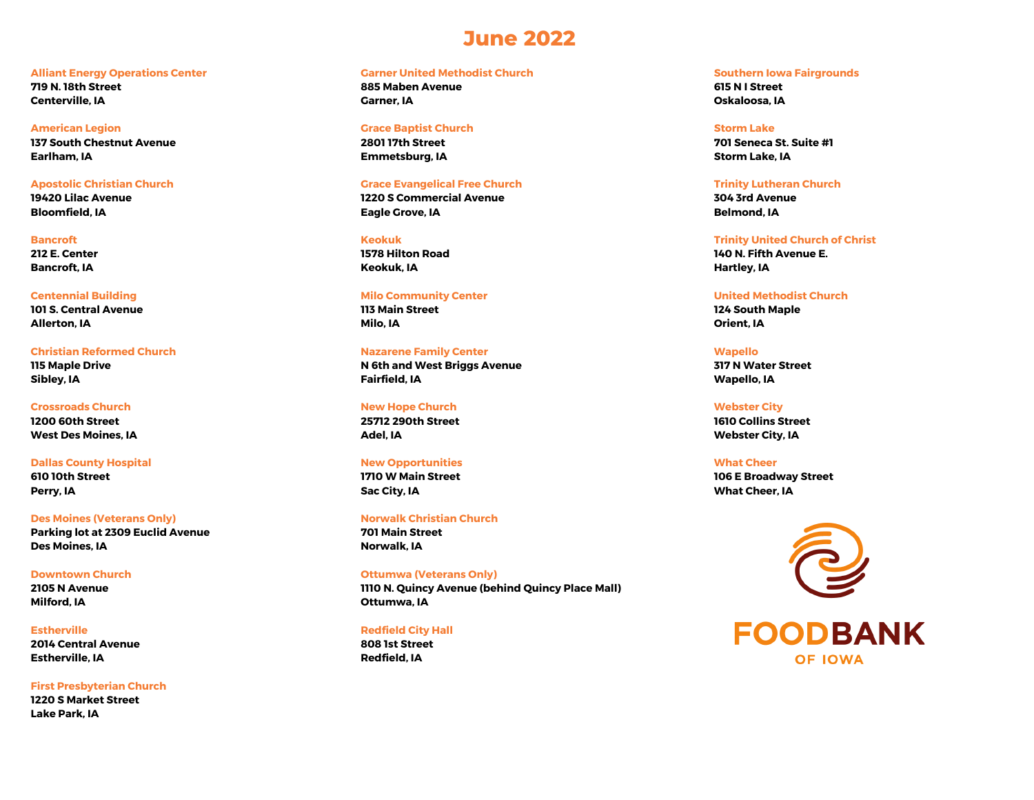## **June 2022**

#### **Alliant Energy Operations Center**

**719 N. 18th Street Centerville, IA**

#### **American Legion**

**137 South Chestnut Avenue Earlham, IA**

## **Apostolic Christian Church**

**19420 Lilac Avenue Bloomfield, IA**

#### **Bancroft**

**212 E. Center Bancroft, IA**

#### **Centennial Building**

**101 S. Central Avenue Allerton, IA**

## **Christian Reformed Church 115 Maple Drive Sibley, IA**

## **Crossroads Church 1200 60th Street**

**West Des Moines, IA**

## **Dallas County Hospital**

**610 10th Street Perry, IA**

### **Des Moines (Veterans Only) Parking lot at 2309 Euclid Avenue Des Moines, IA**

**Downtown Church 2105 N Avenue Milford, IA**

## **Estherville 2014 Central Avenue Estherville, IA**

**First Presbyterian Church 1220 S Market Street Lake Park, IA**

## **Garner United Methodist Church**

**885 Maben Avenue Garner, IA**

#### **Grace Baptist Church**

**2801 17th Street Emmetsburg, IA**

#### **Grace Evangelical Free Church**

**1220 S Commercial Avenue Eagle Grove, IA**

## **Keokuk**

**1578 Hilton Road Keokuk, IA**

#### **Milo Community Center**

**113 Main Street Milo, IA**

#### **Nazarene Family Center**

**N 6th and West Briggs Avenue Fairfield, IA**

## **New Hope Church**

**25712 290th Street Adel, IA**

## **New Opportunities 1710 W Main Street Sac City, IA**

**Norwalk Christian Church 701 Main Street Norwalk, IA**

## **Ottumwa (Veterans Only) 1110 N. Quincy Avenue (behind Quincy Place Mall) Ottumwa, IA**

#### **Redfield City Hall**

**808 1st Street Redfield, IA**

#### **Southern Iowa Fairgrounds**

**615 N I Street Oskaloosa, IA**

#### **Storm Lake**

**701 Seneca St. Suite #1 Storm Lake, IA**

#### **Trinity Lutheran Church 304 3rd Avenue**

**Belmond, IA**

### **Trinity United Church of Christ 140 N. Fifth Avenue E. Hartley, IA**

## **United Methodist Church**

**124 South Maple Orient, IA**

## **Wapello**

**317 N Water Street Wapello, IA**

## **Webster City 1610 Collins Street Webster City, IA**

### **What Cheer 106 E Broadway Street What Cheer, IA**



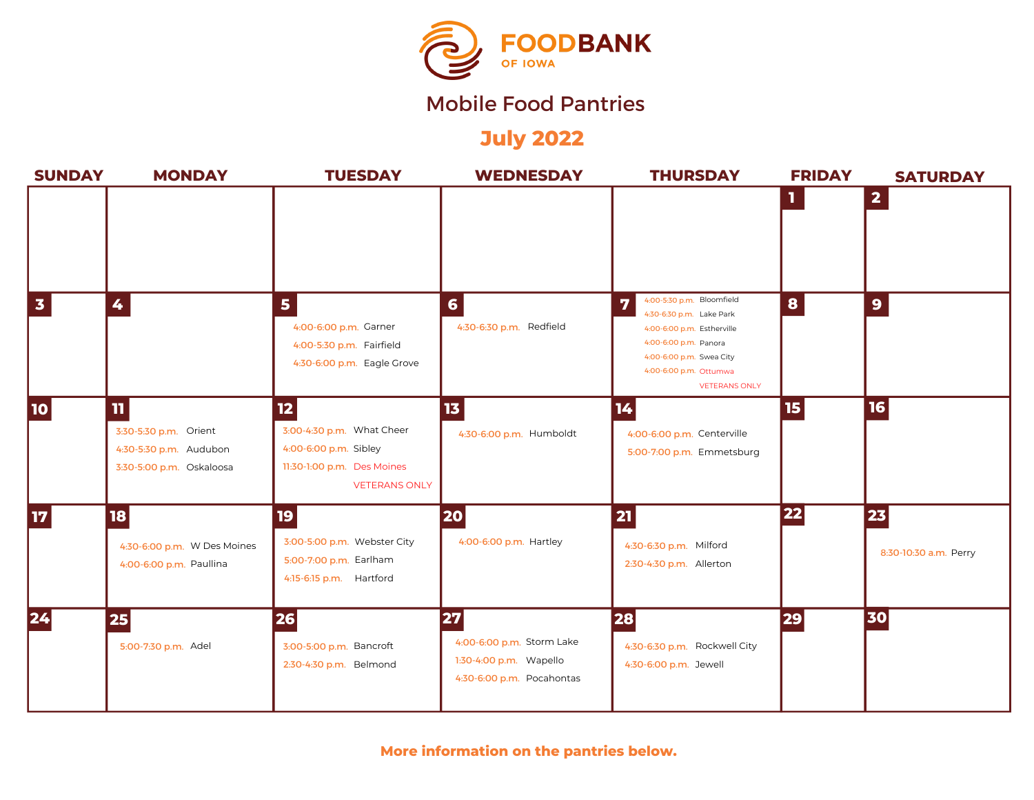

# Mobile Food Pantries

**July 2022**

| <b>SUNDAY</b>   | <b>MONDAY</b>                                                                               | <b>TUESDAY</b>                                                                                                 | <b>WEDNESDAY</b>                                                                              | <b>THURSDAY</b>                                                                                                                                                                                 | <b>FRIDAY</b>         | <b>SATURDAY</b>             |
|-----------------|---------------------------------------------------------------------------------------------|----------------------------------------------------------------------------------------------------------------|-----------------------------------------------------------------------------------------------|-------------------------------------------------------------------------------------------------------------------------------------------------------------------------------------------------|-----------------------|-----------------------------|
|                 |                                                                                             |                                                                                                                |                                                                                               |                                                                                                                                                                                                 | 1.                    | $\mathbf{2}$                |
| $\mathbf{3}$    | 4                                                                                           | 5<br>4:00-6:00 p.m. Garner<br>4:00-5:30 p.m. Fairfield<br>4:30-6:00 p.m. Eagle Grove                           | $6\phantom{a}$<br>4:30-6:30 p.m. Redfield                                                     | 4:00-5:30 p.m. Bloomfield<br>7<br>4:30-6:30 p.m. Lake Park<br>4:00-6:00 p.m. Estherville<br>4:00-6:00 p.m. Panora<br>4:00-6:00 p.m. Swea City<br>4:00-6:00 p.m. Ottumwa<br><b>VETERANS ONLY</b> | 8                     | $\mathbf{9}$                |
| <b>10</b>       | $\mathbf{n}$<br>3:30-5:30 p.m. Orient<br>4:30-5:30 p.m. Audubon<br>3:30-5:00 p.m. Oskaloosa | 12<br>3:00-4:30 p.m. What Cheer<br>4:00-6:00 p.m. Sibley<br>11:30-1:00 p.m. Des Moines<br><b>VETERANS ONLY</b> | 13<br>4:30-6:00 p.m. Humboldt                                                                 | 14<br>4:00-6:00 p.m. Centerville<br>5:00-7:00 p.m. Emmetsburg                                                                                                                                   | $\boldsymbol{15}$     | 16                          |
| 17 <sub>2</sub> | <b>18</b><br>4:30-6:00 p.m. W Des Moines<br>4:00-6:00 p.m. Paullina                         | 19<br>3:00-5:00 p.m. Webster City<br>5:00-7:00 p.m. Earlham<br>4:15-6:15 p.m. Hartford                         | <b>20</b><br>4:00-6:00 p.m. Hartley                                                           | 21<br>4:30-6:30 p.m. Milford<br>2:30-4:30 p.m. Allerton                                                                                                                                         | $\boxed{\mathbf{22}}$ | 23<br>8:30-10:30 a.m. Perry |
| 24              | 25<br>5:00-7:30 p.m. Adel                                                                   | 26<br>3:00-5:00 p.m. Bancroft<br>2:30-4:30 p.m. Belmond                                                        | <b>27</b><br>4:00-6:00 p.m. Storm Lake<br>1:30-4:00 p.m. Wapello<br>4:30-6:00 p.m. Pocahontas | <b>28</b><br>4:30-6:30 p.m. Rockwell City<br>4:30-6:00 p.m. Jewell                                                                                                                              | 29                    | 30                          |

**More information on the pantries below.**